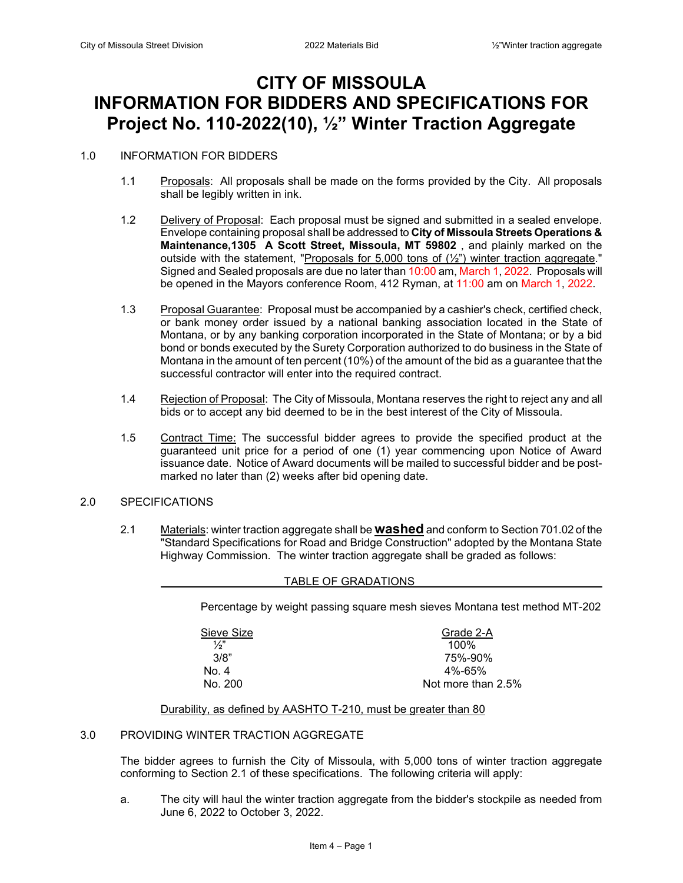# **CITY OF MISSOULA INFORMATION FOR BIDDERS AND SPECIFICATIONS FOR Project No. 110-2022(10), ½" Winter Traction Aggregate**

#### 1.0 INFORMATION FOR BIDDERS

- 1.1 Proposals: All proposals shall be made on the forms provided by the City. All proposals shall be legibly written in ink.
- 1.2 Delivery of Proposal: Each proposal must be signed and submitted in a sealed envelope. Envelope containing proposal shall be addressed to **City of Missoula Streets Operations & Maintenance,1305 A Scott Street, Missoula, MT 59802** , and plainly marked on the outside with the statement, "Proposals for 5,000 tons of (½") winter traction aggregate." Signed and Sealed proposals are due no later than 10:00 am, March 1, 2022. Proposals will be opened in the Mayors conference Room, 412 Ryman, at 11:00 am on March 1, 2022.
- 1.3 Proposal Guarantee: Proposal must be accompanied by a cashier's check, certified check, or bank money order issued by a national banking association located in the State of Montana, or by any banking corporation incorporated in the State of Montana; or by a bid bond or bonds executed by the Surety Corporation authorized to do business in the State of Montana in the amount of ten percent (10%) of the amount of the bid as a guarantee that the successful contractor will enter into the required contract.
- 1.4 Rejection of Proposal: The City of Missoula, Montana reserves the right to reject any and all bids or to accept any bid deemed to be in the best interest of the City of Missoula.
- 1.5 Contract Time: The successful bidder agrees to provide the specified product at the guaranteed unit price for a period of one (1) year commencing upon Notice of Award issuance date. Notice of Award documents will be mailed to successful bidder and be postmarked no later than (2) weeks after bid opening date.

#### 2.0 SPECIFICATIONS

2.1 Materials: winter traction aggregate shall be **washed** and conform to Section 701.02 of the "Standard Specifications for Road and Bridge Construction" adopted by the Montana State Highway Commission. The winter traction aggregate shall be graded as follows:

#### TABLE OF GRADATIONS

Percentage by weight passing square mesh sieves Montana test method MT-202

 $\frac{1}{2}$ " 100%

 $Sieve Size$ <br> $\frac{6.7}{2}$ <br> $\frac{100\%}{2}$  3/8" 75%-90%  $N$ o. 4 4%-65% No. 200 Not more than 2.5%

#### Durability, as defined by AASHTO T-210, must be greater than 80

### 3.0 PROVIDING WINTER TRACTION AGGREGATE

The bidder agrees to furnish the City of Missoula, with 5,000 tons of winter traction aggregate conforming to Section 2.1 of these specifications. The following criteria will apply:

a. The city will haul the winter traction aggregate from the bidder's stockpile as needed from June 6, 2022 to October 3, 2022.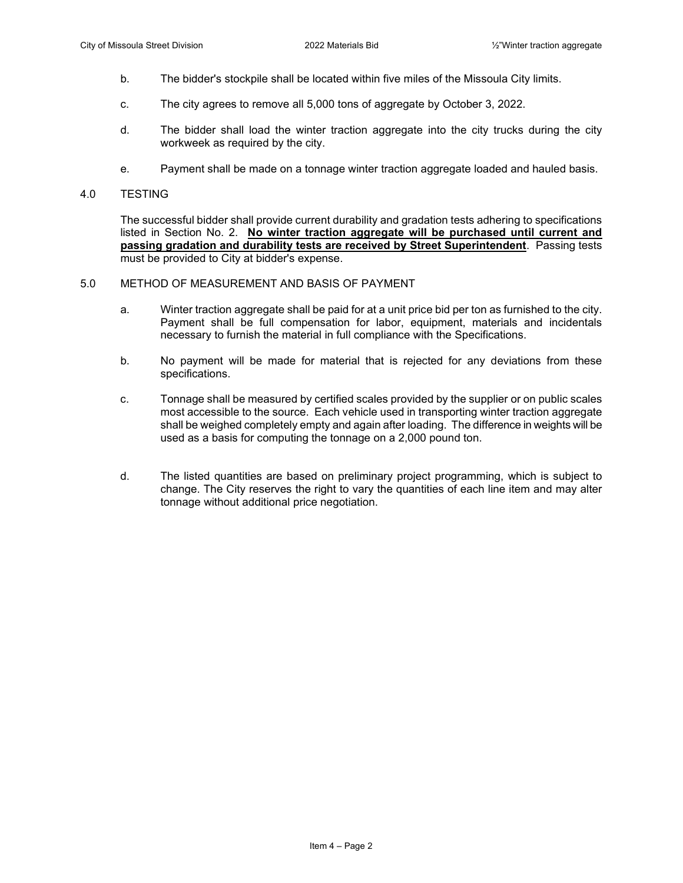- b. The bidder's stockpile shall be located within five miles of the Missoula City limits.
- c. The city agrees to remove all 5,000 tons of aggregate by October 3, 2022.
- d. The bidder shall load the winter traction aggregate into the city trucks during the city workweek as required by the city.
- e. Payment shall be made on a tonnage winter traction aggregate loaded and hauled basis.

#### 4.0 TESTING

The successful bidder shall provide current durability and gradation tests adhering to specifications listed in Section No. 2. **No winter traction aggregate will be purchased until current and passing gradation and durability tests are received by Street Superintendent**. Passing tests must be provided to City at bidder's expense.

### 5.0 METHOD OF MEASUREMENT AND BASIS OF PAYMENT

- a. Winter traction aggregate shall be paid for at a unit price bid per ton as furnished to the city. Payment shall be full compensation for labor, equipment, materials and incidentals necessary to furnish the material in full compliance with the Specifications.
- b. No payment will be made for material that is rejected for any deviations from these specifications.
- c. Tonnage shall be measured by certified scales provided by the supplier or on public scales most accessible to the source. Each vehicle used in transporting winter traction aggregate shall be weighed completely empty and again after loading. The difference in weights will be used as a basis for computing the tonnage on a 2,000 pound ton.
- d. The listed quantities are based on preliminary project programming, which is subject to change. The City reserves the right to vary the quantities of each line item and may alter tonnage without additional price negotiation.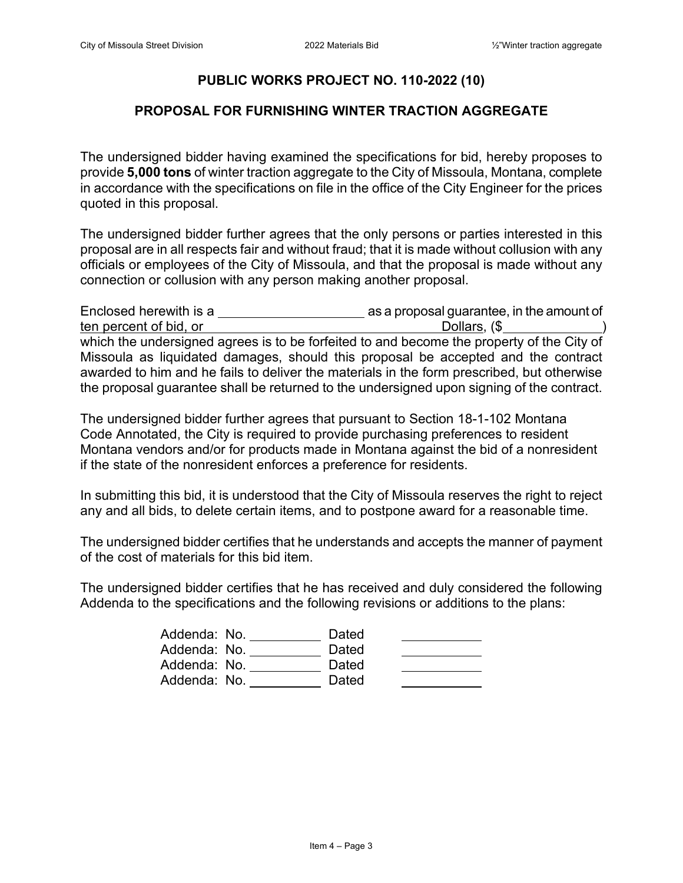## **PUBLIC WORKS PROJECT NO. 110-2022 (10)**

### **PROPOSAL FOR FURNISHING WINTER TRACTION AGGREGATE**

The undersigned bidder having examined the specifications for bid, hereby proposes to provide **5,000 tons** of winter traction aggregate to the City of Missoula, Montana, complete in accordance with the specifications on file in the office of the City Engineer for the prices quoted in this proposal.

The undersigned bidder further agrees that the only persons or parties interested in this proposal are in all respects fair and without fraud; that it is made without collusion with any officials or employees of the City of Missoula, and that the proposal is made without any connection or collusion with any person making another proposal.

| Enclosed herewith is a                                                                     | as a proposal guarantee, in the amount of |
|--------------------------------------------------------------------------------------------|-------------------------------------------|
| ten percent of bid, or                                                                     | Dollars, (\$                              |
| which the undersigned agrees is to be forfeited to and become the property of the City of  |                                           |
| Missoula as liquidated damages, should this proposal be accepted and the contract          |                                           |
| awarded to him and he fails to deliver the materials in the form prescribed, but otherwise |                                           |
| the proposal guarantee shall be returned to the undersigned upon signing of the contract.  |                                           |

The undersigned bidder further agrees that pursuant to Section 18-1-102 Montana Code Annotated, the City is required to provide purchasing preferences to resident Montana vendors and/or for products made in Montana against the bid of a nonresident if the state of the nonresident enforces a preference for residents.

In submitting this bid, it is understood that the City of Missoula reserves the right to reject any and all bids, to delete certain items, and to postpone award for a reasonable time.

The undersigned bidder certifies that he understands and accepts the manner of payment of the cost of materials for this bid item.

The undersigned bidder certifies that he has received and duly considered the following Addenda to the specifications and the following revisions or additions to the plans:

| Addenda: No. | Dated |  |
|--------------|-------|--|
| Addenda: No. | Dated |  |
| Addenda: No. | Dated |  |
| Addenda: No. | Dated |  |